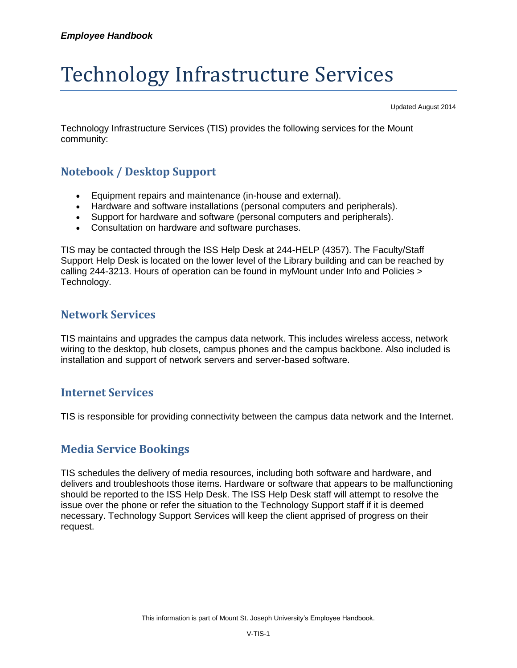# Technology Infrastructure Services

Updated August 2014

Technology Infrastructure Services (TIS) provides the following services for the Mount community:

## **Notebook / Desktop Support**

- Equipment repairs and maintenance (in-house and external).
- Hardware and software installations (personal computers and peripherals).
- Support for hardware and software (personal computers and peripherals).
- Consultation on hardware and software purchases.

TIS may be contacted through the ISS Help Desk at 244-HELP (4357). The Faculty/Staff Support Help Desk is located on the lower level of the Library building and can be reached by calling 244-3213. Hours of operation can be found in myMount under Info and Policies > Technology.

#### **Network Services**

TIS maintains and upgrades the campus data network. This includes wireless access, network wiring to the desktop, hub closets, campus phones and the campus backbone. Also included is installation and support of network servers and server-based software.

#### **Internet Services**

TIS is responsible for providing connectivity between the campus data network and the Internet.

### **Media Service Bookings**

TIS schedules the delivery of media resources, including both software and hardware, and delivers and troubleshoots those items. Hardware or software that appears to be malfunctioning should be reported to the ISS Help Desk. The ISS Help Desk staff will attempt to resolve the issue over the phone or refer the situation to the Technology Support staff if it is deemed necessary. Technology Support Services will keep the client apprised of progress on their request.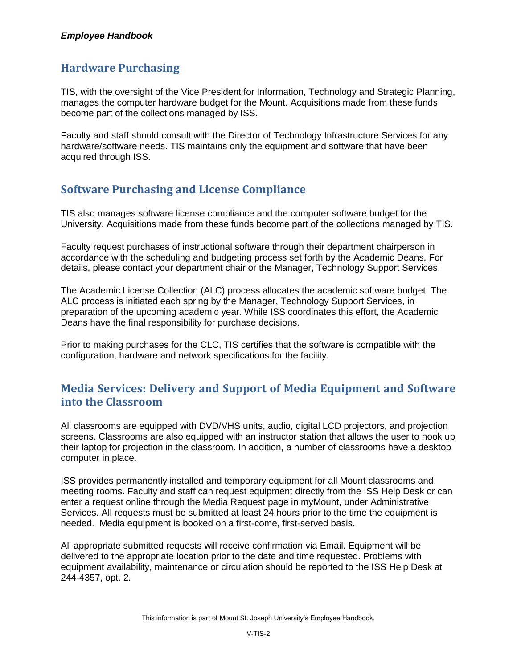#### *Employee Handbook*

## **Hardware Purchasing**

TIS, with the oversight of the Vice President for Information, Technology and Strategic Planning, manages the computer hardware budget for the Mount. Acquisitions made from these funds become part of the collections managed by ISS.

Faculty and staff should consult with the Director of Technology Infrastructure Services for any hardware/software needs. TIS maintains only the equipment and software that have been acquired through ISS.

# **Software Purchasing and License Compliance**

TIS also manages software license compliance and the computer software budget for the University. Acquisitions made from these funds become part of the collections managed by TIS.

Faculty request purchases of instructional software through their department chairperson in accordance with the scheduling and budgeting process set forth by the Academic Deans. For details, please contact your department chair or the Manager, Technology Support Services.

The Academic License Collection (ALC) process allocates the academic software budget. The ALC process is initiated each spring by the Manager, Technology Support Services, in preparation of the upcoming academic year. While ISS coordinates this effort, the Academic Deans have the final responsibility for purchase decisions.

Prior to making purchases for the CLC, TIS certifies that the software is compatible with the configuration, hardware and network specifications for the facility.

# **Media Services: Delivery and Support of Media Equipment and Software into the Classroom**

All classrooms are equipped with DVD/VHS units, audio, digital LCD projectors, and projection screens. Classrooms are also equipped with an instructor station that allows the user to hook up their laptop for projection in the classroom. In addition, a number of classrooms have a desktop computer in place.

ISS provides permanently installed and temporary equipment for all Mount classrooms and meeting rooms. Faculty and staff can request equipment directly from the ISS Help Desk or can enter a request online through the Media Request page in myMount, under Administrative Services. All requests must be submitted at least 24 hours prior to the time the equipment is needed. Media equipment is booked on a first-come, first-served basis.

All appropriate submitted requests will receive confirmation via Email. Equipment will be delivered to the appropriate location prior to the date and time requested. Problems with equipment availability, maintenance or circulation should be reported to the ISS Help Desk at 244-4357, opt. 2.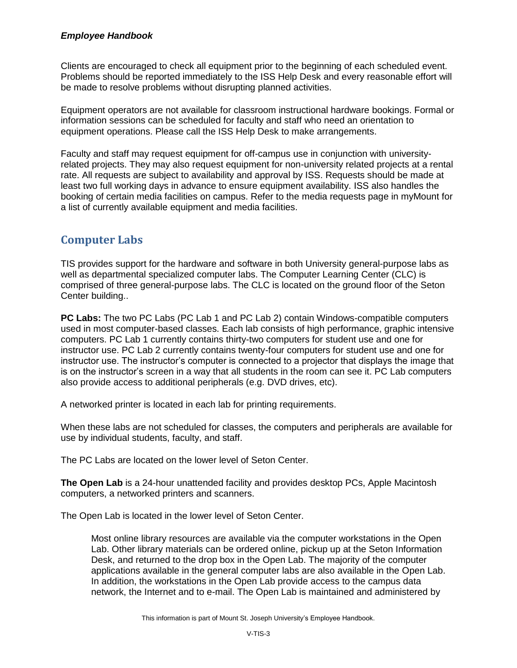#### *Employee Handbook*

Clients are encouraged to check all equipment prior to the beginning of each scheduled event. Problems should be reported immediately to the ISS Help Desk and every reasonable effort will be made to resolve problems without disrupting planned activities.

Equipment operators are not available for classroom instructional hardware bookings. Formal or information sessions can be scheduled for faculty and staff who need an orientation to equipment operations. Please call the ISS Help Desk to make arrangements.

Faculty and staff may request equipment for off-campus use in conjunction with universityrelated projects. They may also request equipment for non-university related projects at a rental rate. All requests are subject to availability and approval by ISS. Requests should be made at least two full working days in advance to ensure equipment availability. ISS also handles the booking of certain media facilities on campus. Refer to the media requests page in myMount for a list of currently available equipment and media facilities.

# **Computer Labs**

TIS provides support for the hardware and software in both University general-purpose labs as well as departmental specialized computer labs. The Computer Learning Center (CLC) is comprised of three general-purpose labs. The CLC is located on the ground floor of the Seton Center building..

**PC Labs:** The two PC Labs (PC Lab 1 and PC Lab 2) contain Windows-compatible computers used in most computer-based classes. Each lab consists of high performance, graphic intensive computers. PC Lab 1 currently contains thirty-two computers for student use and one for instructor use. PC Lab 2 currently contains twenty-four computers for student use and one for instructor use. The instructor's computer is connected to a projector that displays the image that is on the instructor's screen in a way that all students in the room can see it. PC Lab computers also provide access to additional peripherals (e.g. DVD drives, etc).

A networked printer is located in each lab for printing requirements.

When these labs are not scheduled for classes, the computers and peripherals are available for use by individual students, faculty, and staff.

The PC Labs are located on the lower level of Seton Center.

**The Open Lab** is a 24-hour unattended facility and provides desktop PCs, Apple Macintosh computers, a networked printers and scanners.

The Open Lab is located in the lower level of Seton Center.

Most online library resources are available via the computer workstations in the Open Lab. Other library materials can be ordered online, pickup up at the Seton Information Desk, and returned to the drop box in the Open Lab. The majority of the computer applications available in the general computer labs are also available in the Open Lab. In addition, the workstations in the Open Lab provide access to the campus data network, the Internet and to e-mail. The Open Lab is maintained and administered by